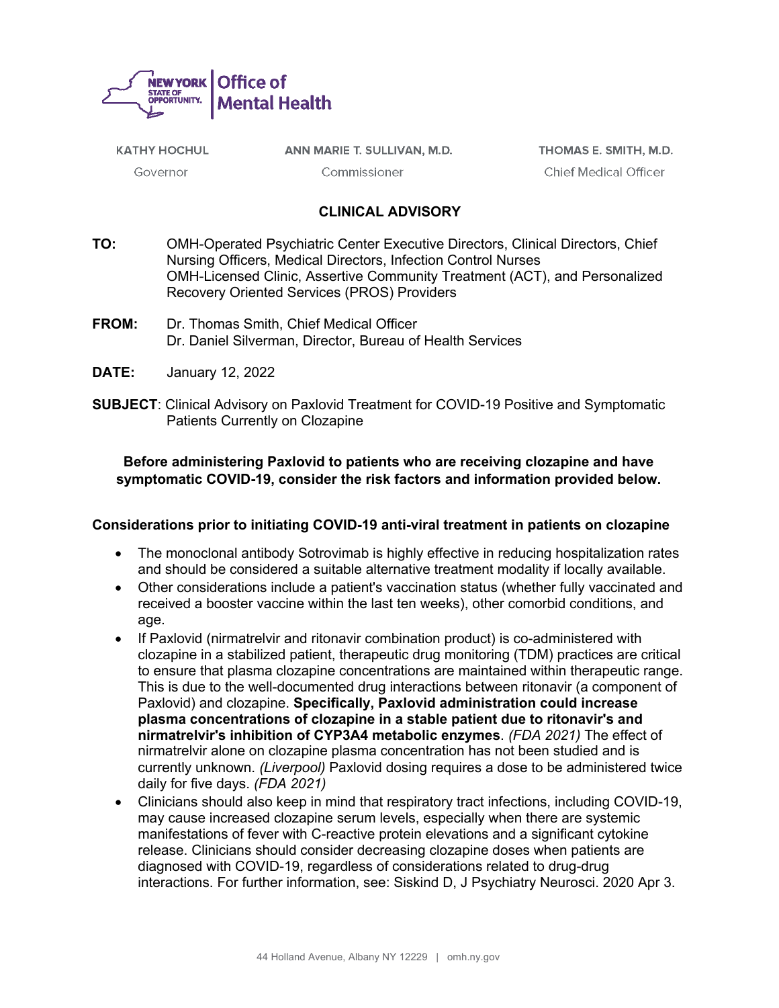

| KATHY HOCHUL | ANN MARIE T. SULLIVAN, M.D. | THO |
|--------------|-----------------------------|-----|
| Governor     | Commissioner                | Chi |

MAS E. SMITH, M.D. ef Medical Officer

# **CLINICAL ADVISORY**

- **TO:** OMH-Operated Psychiatric Center Executive Directors, Clinical Directors, Chief Nursing Officers, Medical Directors, Infection Control Nurses OMH-Licensed Clinic, Assertive Community Treatment (ACT), and Personalized Recovery Oriented Services (PROS) Providers
- **FROM:** Dr. Thomas Smith, Chief Medical Officer Dr. Daniel Silverman, Director, Bureau of Health Services
- **DATE:** January 12, 2022
- **SUBJECT**: Clinical Advisory on Paxlovid Treatment for COVID-19 Positive and Symptomatic Patients Currently on Clozapine

# **Before administering Paxlovid to patients who are receiving clozapine and have symptomatic COVID-19, consider the risk factors and information provided below.**

#### **Considerations prior to initiating COVID-19 anti-viral treatment in patients on clozapine**

- and should be considered a suitable alternative treatment modality if locally available. • The monoclonal antibody Sotrovimab is highly effective in reducing hospitalization rates
- • Other considerations include a patient's vaccination status (whether fully vaccinated and received a booster vaccine within the last ten weeks), other comorbid conditions, and age.
- to ensure that plasma clozapine concentrations are maintained within therapeutic range. This is due to the well-documented drug interactions between ritonavir (a component of  Paxlovid) and clozapine. **Specifically, Paxlovid administration could increase plasma concentrations of clozapine in a stable patient due to ritonavir's and nirmatrelvir's inhibition of CYP3A4 metabolic enzymes**. *(FDA 2021)* The effect of daily for five days. *(FDA 2021)* • If Paxlovid (nirmatrelvir and ritonavir combination product) is co-administered with clozapine in a stabilized patient, therapeutic drug monitoring (TDM) practices are critical nirmatrelvir alone on clozapine plasma concentration has not been studied and is currently unknown. *(Liverpool)* Paxlovid dosing requires a dose to be administered twice
- • Clinicians should also keep in mind that respiratory tract infections, including COVID-19, may cause increased clozapine serum levels, especially when there are systemic manifestations of fever with C-reactive protein elevations and a significant cytokine release. Clinicians should consider decreasing clozapine doses when patients are interactions. For further information, see: Siskind D, J Psychiatry Neurosci. 2020 Apr 3. diagnosed with COVID-19, regardless of considerations related to drug-drug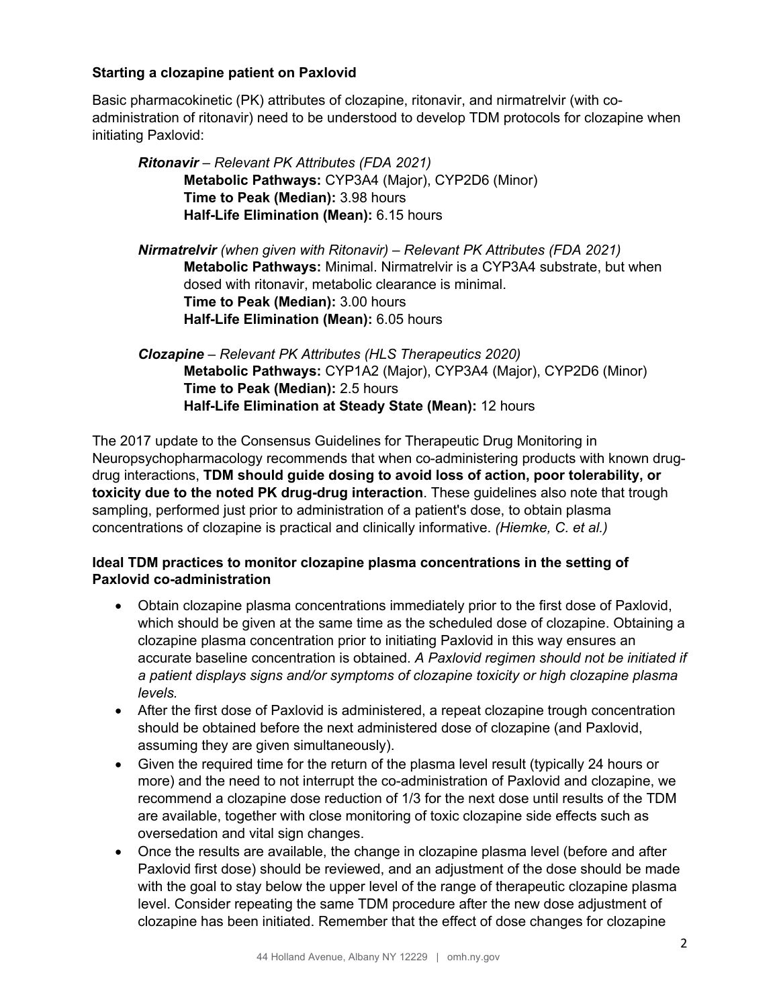# **Starting a clozapine patient on Paxlovid**

 Basic pharmacokinetic (PK) attributes of clozapine, ritonavir, and nirmatrelvir (with co- administration of ritonavir) need to be understood to develop TDM protocols for clozapine when initiating Paxlovid:

 *Ritonavir – Relevant PK Attributes (FDA 2021)*  **Metabolic Pathways:** CYP3A4 (Major), CYP2D6 (Minor)  **Time to Peak (Median):** 3.98 hours **Half-Life Elimination (Mean):** 6.15 hours  *Nirmatrelvir (when given with Ritonavir) – Relevant PK Attributes (FDA 2021)*  **Metabolic Pathways:** Minimal. Nirmatrelvir is a CYP3A4 substrate, but when dosed with ritonavir, metabolic clearance is minimal.  **Time to Peak (Median):** 3.00 hours **Half-Life Elimination (Mean):** 6.05 hours

 *Clozapine – Relevant PK Attributes (HLS Therapeutics 2020)*  **Metabolic Pathways:** CYP1A2 (Major), CYP3A4 (Major), CYP2D6 (Minor)  **Time to Peak (Median):** 2.5 hours  **Half-Life Elimination at Steady State (Mean):** 12 hours

 The 2017 update to the Consensus Guidelines for Therapeutic Drug Monitoring in Neuropsychopharmacology recommends that when co-administering products with known drug- sampling, performed just prior to administration of a patient's dose, to obtain plasma concentrations of clozapine is practical and clinically informative. *(Hiemke, C. et al.)* drug interactions, **TDM should guide dosing to avoid loss of action, poor tolerability, or toxicity due to the noted PK drug-drug interaction**. These guidelines also note that trough

# **Ideal TDM practices to monitor clozapine plasma concentrations in the setting of Paxlovid co-administration**

- • Obtain clozapine plasma concentrations immediately prior to the first dose of Paxlovid, which should be given at the same time as the scheduled dose of clozapine. Obtaining a  accurate baseline concentration is obtained. *A Paxlovid regimen should not be initiated if*  clozapine plasma concentration prior to initiating Paxlovid in this way ensures an *a patient displays signs and/or symptoms of clozapine toxicity or high clozapine plasma levels.*
- • After the first dose of Paxlovid is administered, a repeat clozapine trough concentration should be obtained before the next administered dose of clozapine (and Paxlovid, assuming they are given simultaneously).
- • Given the required time for the return of the plasma level result (typically 24 hours or more) and the need to not interrupt the co-administration of Paxlovid and clozapine, we are available, together with close monitoring of toxic clozapine side effects such as recommend a clozapine dose reduction of 1/3 for the next dose until results of the TDM oversedation and vital sign changes.
- • Once the results are available, the change in clozapine plasma level (before and after Paxlovid first dose) should be reviewed, and an adjustment of the dose should be made with the goal to stay below the upper level of the range of therapeutic clozapine plasma level. Consider repeating the same TDM procedure after the new dose adjustment of clozapine has been initiated. Remember that the effect of dose changes for clozapine